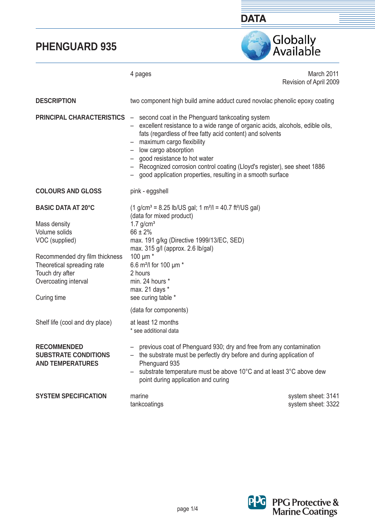

4 pages March 2011 Revision of April 2009 two component high build amine adduct cured novolac phenolic epoxy coating **PRINCIPAL CHARACTERISTICS**  $-$  second coat in the Phenguard tankcoating system – excellent resistance to a wide range of organic acids, alcohols, edible oils, fats (regardless of free fatty acid content) and solvents  $-$  maximum cargo flexibility – low cargo absorption – good resistance to hot water – Recognized corrosion control coating (Lloyd's register), see sheet 1886 – good application properties, resulting in a smooth surface pink - eggshell  $(1$  g/cm<sup>3</sup> = 8.25 lb/US gal; 1 m<sup>2</sup>/l = 40.7 ft<sup>2</sup>/US gal) (data for mixed product)  $1.7$  g/cm<sup>3</sup> 66 ± 2% max. 191 g/kg (Directive 1999/13/EC, SED) max. 315 g/l (approx. 2.6 lb/gal) 100 μm \* 6.6 m²/l for 100 μm \* 2 hours min. 24 hours \* max. 21 days \* see curing table \* (data for components) at least 12 months \* see additional data – previous coat of Phenguard 930; dry and free from any contamination – the substrate must be perfectly dry before and during application of Phenguard 935 – substrate temperature must be above 10°C and at least 3°C above dew point during application and curing marine system sheet: 3141 tankcoatings system sheet: 3322 **DESCRIPTION COLOURS AND GLOSS BASIC DATA AT 20°C**  Mass density Volume solids VOC (supplied) Recommended dry film thickness Theoretical spreading rate Touch dry after Overcoating interval Curing time Shelf life (cool and dry place) **RECOMMENDED SUBSTRATE CONDITIONS AND TEMPERATURES SYSTEM SPECIFICATION** 

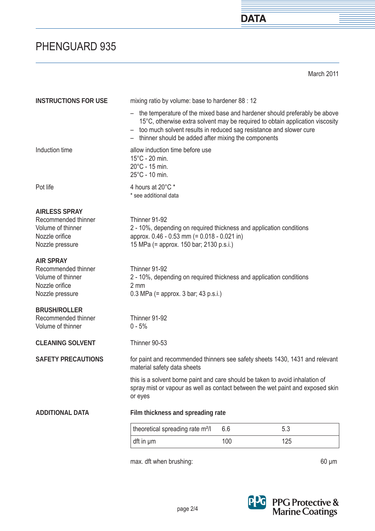March 2011

**DATA** 

| <b>INSTRUCTIONS FOR USE</b>                                                                           | mixing ratio by volume: base to hardener 88 : 12                                                                                                                                                             |     |                                                                               |  |
|-------------------------------------------------------------------------------------------------------|--------------------------------------------------------------------------------------------------------------------------------------------------------------------------------------------------------------|-----|-------------------------------------------------------------------------------|--|
|                                                                                                       | - the temperature of the mixed base and hardener should preferably be above<br>- too much solvent results in reduced sag resistance and slower cure<br>- thinner should be added after mixing the components |     | 15°C, otherwise extra solvent may be required to obtain application viscosity |  |
| Induction time                                                                                        | allow induction time before use<br>$15^{\circ}$ C - 20 min.<br>$20^{\circ}$ C - 15 min.<br>$25^{\circ}$ C - 10 min.                                                                                          |     |                                                                               |  |
| Pot life                                                                                              | 4 hours at 20°C *<br>* see additional data                                                                                                                                                                   |     |                                                                               |  |
| <b>AIRLESS SPRAY</b><br>Recommended thinner<br>Volume of thinner<br>Nozzle orifice<br>Nozzle pressure | Thinner 91-92<br>2 - 10%, depending on required thickness and application conditions<br>approx. 0.46 - 0.53 mm (= 0.018 - 0.021 in)<br>15 MPa (= approx. 150 bar; 2130 p.s.i.)                               |     |                                                                               |  |
| <b>AIR SPRAY</b><br>Recommended thinner<br>Volume of thinner<br>Nozzle orifice<br>Nozzle pressure     | Thinner 91-92<br>2 - 10%, depending on required thickness and application conditions<br>2 mm<br>$0.3$ MPa (= approx. 3 bar; 43 p.s.i.)                                                                       |     |                                                                               |  |
| <b>BRUSH/ROLLER</b><br>Recommended thinner<br>Volume of thinner                                       | Thinner 91-92<br>$0 - 5%$                                                                                                                                                                                    |     |                                                                               |  |
| <b>CLEANING SOLVENT</b>                                                                               | Thinner 90-53                                                                                                                                                                                                |     |                                                                               |  |
| <b>SAFETY PRECAUTIONS</b>                                                                             | for paint and recommended thinners see safety sheets 1430, 1431 and relevant<br>material safety data sheets                                                                                                  |     |                                                                               |  |
|                                                                                                       | this is a solvent borne paint and care should be taken to avoid inhalation of<br>spray mist or vapour as well as contact between the wet paint and exposed skin<br>or eyes                                   |     |                                                                               |  |
| <b>ADDITIONAL DATA</b>                                                                                | Film thickness and spreading rate                                                                                                                                                                            |     |                                                                               |  |
|                                                                                                       | theoretical spreading rate m <sup>2</sup> /l                                                                                                                                                                 | 6.6 | 5.3                                                                           |  |
|                                                                                                       | dft in µm                                                                                                                                                                                                    | 100 | 125                                                                           |  |

max. dft when brushing: 60 μm



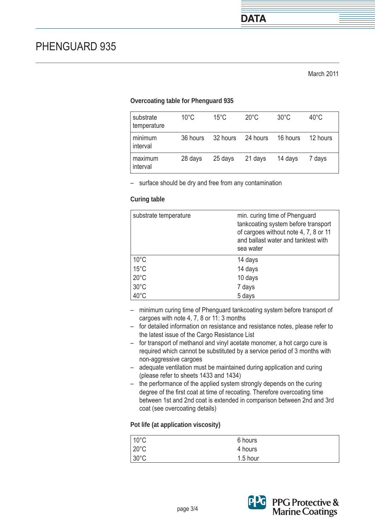### **Overcoating table for Phenguard 935**

| substrate<br>temperature | $10^{\circ}$ C | 15°C     | $20^{\circ}$ C | $30^{\circ}$ C | $40^{\circ}$ C |
|--------------------------|----------------|----------|----------------|----------------|----------------|
| minimum<br>interval      | 36 hours       | 32 hours | 24 hours       | 16 hours       | 12 hours       |
| maximum<br>interval      | 28 days        | 25 days  | 21 days        | 14 days        | 7 days         |

– surface should be dry and free from any contamination

#### **Curing table**

| substrate temperature | min. curing time of Phenguard<br>tankcoating system before transport<br>of cargoes without note 4, 7, 8 or 11<br>and ballast water and tanktest with<br>sea water |
|-----------------------|-------------------------------------------------------------------------------------------------------------------------------------------------------------------|
| $10^{\circ}$ C        | 14 days                                                                                                                                                           |
| $15^{\circ}$ C        | 14 days                                                                                                                                                           |
| $20^{\circ}$ C        | 10 days                                                                                                                                                           |
| $30^{\circ}$ C        | 7 days                                                                                                                                                            |
| $40^{\circ}$ C        | 5 days                                                                                                                                                            |

- minimum curing time of Phenguard tankcoating system before transport of cargoes with note 4, 7, 8 or 11: 3 months
- for detailed information on resistance and resistance notes, please refer to the latest issue of the Cargo Resistance List
- for transport of methanol and vinyl acetate monomer, a hot cargo cure is required which cannot be substituted by a service period of 3 months with non-aggressive cargoes
- adequate ventilation must be maintained during application and curing (please refer to sheets 1433 and 1434)
- the performance of the applied system strongly depends on the curing degree of the first coat at time of recoating. Therefore overcoating time between 1st and 2nd coat is extended in comparison between 2nd and 3rd coat (see overcoating details)

### **Pot life (at application viscosity)**

| $10^{\circ}$ C | 6 hours  |  |
|----------------|----------|--|
| $20^{\circ}$ C | 4 hours  |  |
| $30^{\circ}$ C | 1.5 hour |  |